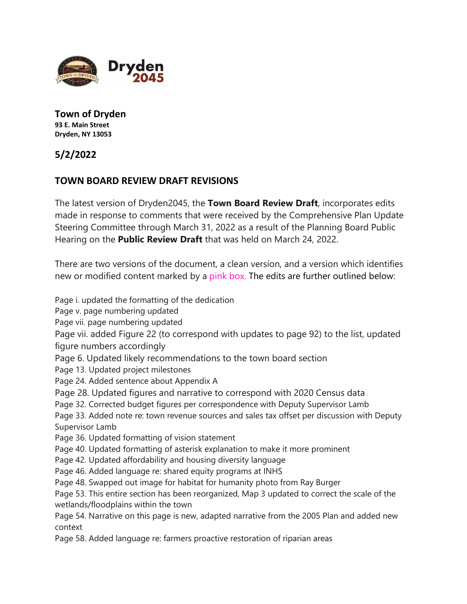

**Town of Dryden 93 E. Main Street Dryden, NY 13053**

**5/2/2022**

## **TOWN BOARD REVIEW DRAFT REVISIONS**

The latest version of Dryden2045, the **Town Board Review Draft**, incorporates edits made in response to comments that were received by the Comprehensive Plan Update Steering Committee through March 31, 2022 as a result of the Planning Board Public Hearing on the **Public Review Draft** that was held on March 24, 2022.

There are two versions of the document, a clean version, and a version which identifies new or modified content marked by a pink box. The edits are further outlined below:

Page i. updated the formatting of the dedication Page v. page numbering updated

Page vii. page numbering updated

Page vii. added Figure 22 (to correspond with updates to page 92) to the list, updated figure numbers accordingly

Page 6. Updated likely recommendations to the town board section

Page 13. Updated project milestones

Page 24. Added sentence about Appendix A

Page 28. Updated figures and narrative to correspond with 2020 Census data

Page 32. Corrected budget figures per correspondence with Deputy Supervisor Lamb

Page 33. Added note re: town revenue sources and sales tax offset per discussion with Deputy Supervisor Lamb

Page 36. Updated formatting of vision statement

Page 40. Updated formatting of asterisk explanation to make it more prominent

Page 42. Updated affordability and housing diversity language

Page 46. Added language re: shared equity programs at INHS

Page 48. Swapped out image for habitat for humanity photo from Ray Burger

Page 53. This entire section has been reorganized, Map 3 updated to correct the scale of the wetlands/floodplains within the town

Page 54. Narrative on this page is new, adapted narrative from the 2005 Plan and added new context

Page 58. Added language re: farmers proactive restoration of riparian areas